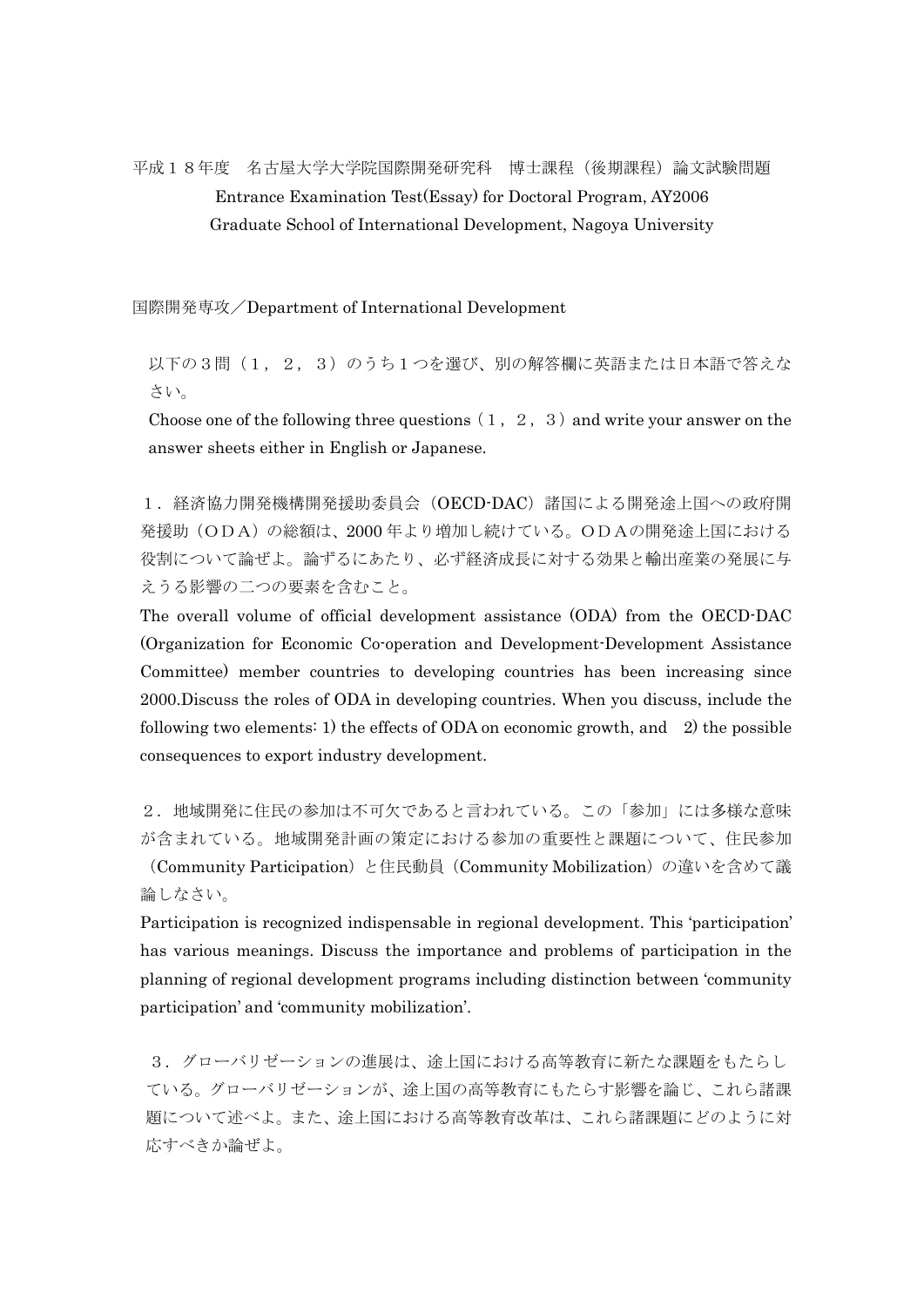## 平成18年度 名古屋大学大学院国際開発研究科 博士課程(後期課程)論文試験問題 Entrance Examination Test(Essay) for Doctoral Program, AY2006 Graduate School of International Development, Nagoya University

国際開発専攻/Department of International Development

以下の3問(1,2,3)のうち1つを選び、別の解答欄に英語または日本語で答えな さい。

Choose one of the following three questions  $(1, 2, 3)$  and write your answer on the answer sheets either in English or Japanese.

1.経済協力開発機構開発援助委員会(OECD-DAC)諸国による開発途上国への政府開 発援助(ODA)の総額は、2000 年より増加し続けている。ODAの開発途上国における 役割について論ぜよ。論ずるにあたり、必ず経済成長に対する効果と輸出産業の発展に与 えうる影響の二つの要素を含むこと。

The overall volume of official development assistance (ODA) from the OECD-DAC (Organization for Economic Co-operation and Development-Development Assistance Committee) member countries to developing countries has been increasing since 2000.Discuss the roles of ODA in developing countries. When you discuss, include the following two elements: 1) the effects of ODA on economic growth, and 2) the possible consequences to export industry development.

2.地域開発に住民の参加は不可欠であると言われている。この「参加」には多様な意味 が含まれている。地域開発計画の策定における参加の重要性と課題について、住民参加 (Community Participation)と住民動員(Community Mobilization)の違いを含めて議

論しなさい。

Participation is recognized indispensable in regional development. This 'participation' has various meanings. Discuss the importance and problems of participation in the planning of regional development programs including distinction between 'community participation' and 'community mobilization'.

3.グローバリゼーションの進展は、途上国における高等教育に新たな課題をもたらし ている。グローバリゼーションが、途上国の高等教育にもたらす影響を論じ、これら諸課 題について述べよ。また、途上国における高等教育改革は、これら諸課題にどのように対 応すべきか論ぜよ。